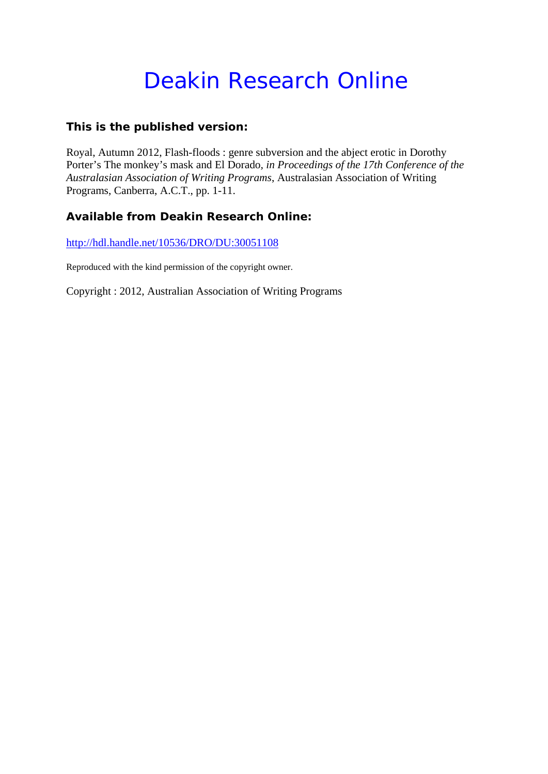# Deakin Research Online

# **This is the published version:**

Royal, Autumn 2012, Flash-floods : genre subversion and the abject erotic in Dorothy Porter's The monkey's mask and El Dorado*, in Proceedings of the 17th Conference of the Australasian Association of Writing Programs*, Australasian Association of Writing Programs, Canberra, A.C.T., pp. 1-11.

# **Available from Deakin Research Online:**

http://hdl.handle.net/10536/DRO/DU:30051108

Reproduced with the kind permission of the copyright owner.

Copyright : 2012, Australian Association of Writing Programs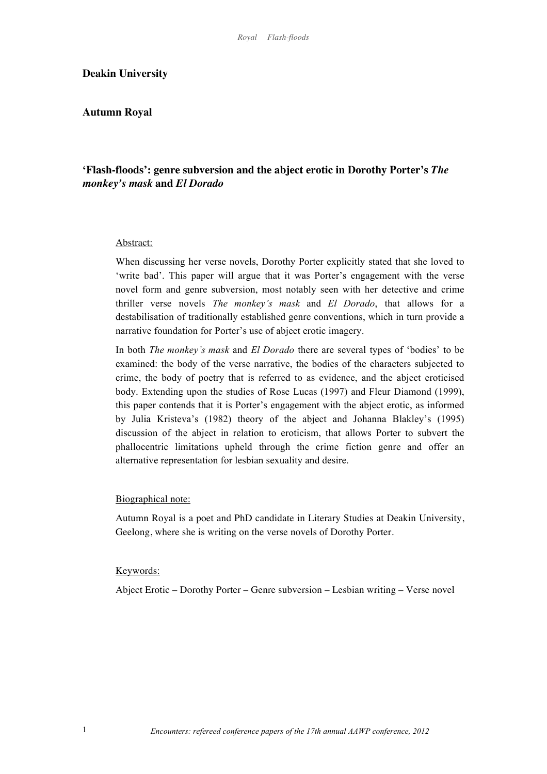# **Deakin University**

# **Autumn Royal**

# **'Flash-floods': genre subversion and the abject erotic in Dorothy Porter's** *The monkey's mask* **and** *El Dorado*

#### Abstract:

When discussing her verse novels, Dorothy Porter explicitly stated that she loved to 'write bad'. This paper will argue that it was Porter's engagement with the verse novel form and genre subversion, most notably seen with her detective and crime thriller verse novels *The monkey's mask* and *El Dorado*, that allows for a destabilisation of traditionally established genre conventions, which in turn provide a narrative foundation for Porter's use of abject erotic imagery.

In both *The monkey's mask* and *El Dorado* there are several types of 'bodies' to be examined: the body of the verse narrative, the bodies of the characters subjected to crime, the body of poetry that is referred to as evidence, and the abject eroticised body. Extending upon the studies of Rose Lucas (1997) and Fleur Diamond (1999), this paper contends that it is Porter's engagement with the abject erotic, as informed by Julia Kristeva's (1982) theory of the abject and Johanna Blakley's (1995) discussion of the abject in relation to eroticism, that allows Porter to subvert the phallocentric limitations upheld through the crime fiction genre and offer an alternative representation for lesbian sexuality and desire.

#### Biographical note:

Autumn Royal is a poet and PhD candidate in Literary Studies at Deakin University, Geelong, where she is writing on the verse novels of Dorothy Porter.

#### Keywords:

Abject Erotic – Dorothy Porter – Genre subversion – Lesbian writing – Verse novel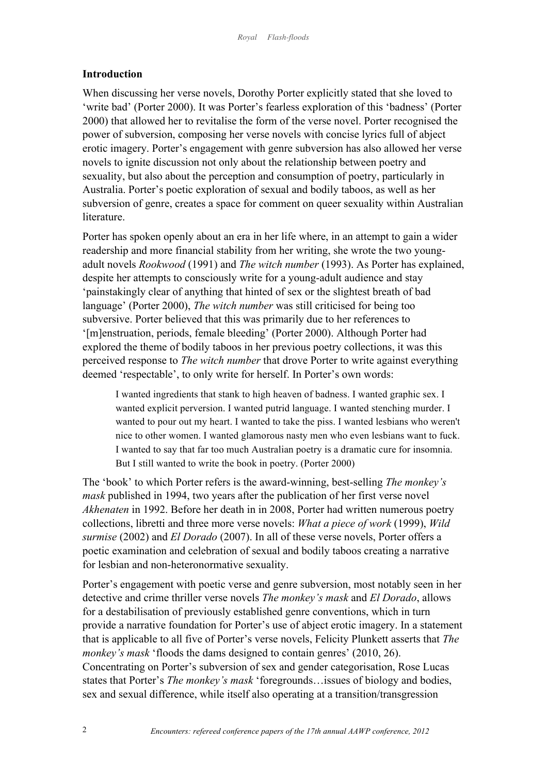# **Introduction**

When discussing her verse novels, Dorothy Porter explicitly stated that she loved to 'write bad' (Porter 2000). It was Porter's fearless exploration of this 'badness' (Porter 2000) that allowed her to revitalise the form of the verse novel. Porter recognised the power of subversion, composing her verse novels with concise lyrics full of abject erotic imagery. Porter's engagement with genre subversion has also allowed her verse novels to ignite discussion not only about the relationship between poetry and sexuality, but also about the perception and consumption of poetry, particularly in Australia. Porter's poetic exploration of sexual and bodily taboos, as well as her subversion of genre, creates a space for comment on queer sexuality within Australian literature.

Porter has spoken openly about an era in her life where, in an attempt to gain a wider readership and more financial stability from her writing, she wrote the two youngadult novels *Rookwood* (1991) and *The witch number* (1993). As Porter has explained, despite her attempts to consciously write for a young-adult audience and stay 'painstakingly clear of anything that hinted of sex or the slightest breath of bad language' (Porter 2000), *The witch number* was still criticised for being too subversive. Porter believed that this was primarily due to her references to '[m]enstruation, periods, female bleeding' (Porter 2000). Although Porter had explored the theme of bodily taboos in her previous poetry collections, it was this perceived response to *The witch number* that drove Porter to write against everything deemed 'respectable', to only write for herself. In Porter's own words:

I wanted ingredients that stank to high heaven of badness. I wanted graphic sex. I wanted explicit perversion. I wanted putrid language. I wanted stenching murder. I wanted to pour out my heart. I wanted to take the piss. I wanted lesbians who weren't nice to other women. I wanted glamorous nasty men who even lesbians want to fuck. I wanted to say that far too much Australian poetry is a dramatic cure for insomnia. But I still wanted to write the book in poetry. (Porter 2000)

The 'book' to which Porter refers is the award-winning, best-selling *The monkey's mask* published in 1994, two years after the publication of her first verse novel *Akhenaten* in 1992. Before her death in in 2008, Porter had written numerous poetry collections, libretti and three more verse novels: *What a piece of work* (1999), *Wild surmise* (2002) and *El Dorado* (2007). In all of these verse novels, Porter offers a poetic examination and celebration of sexual and bodily taboos creating a narrative for lesbian and non-heteronormative sexuality.

Porter's engagement with poetic verse and genre subversion, most notably seen in her detective and crime thriller verse novels *The monkey's mask* and *El Dorado*, allows for a destabilisation of previously established genre conventions, which in turn provide a narrative foundation for Porter's use of abject erotic imagery. In a statement that is applicable to all five of Porter's verse novels, Felicity Plunkett asserts that *The monkey's mask* 'floods the dams designed to contain genres' (2010, 26). Concentrating on Porter's subversion of sex and gender categorisation, Rose Lucas states that Porter's *The monkey's mask* 'foregrounds…issues of biology and bodies, sex and sexual difference, while itself also operating at a transition/transgression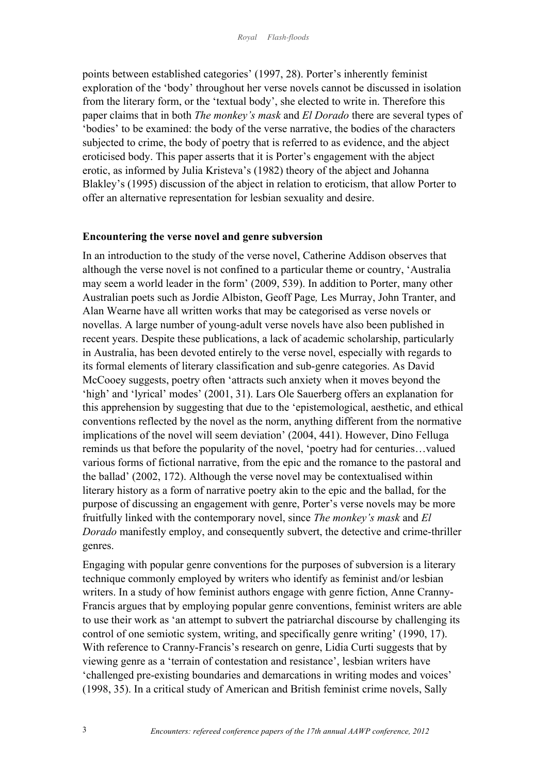points between established categories' (1997, 28). Porter's inherently feminist exploration of the 'body' throughout her verse novels cannot be discussed in isolation from the literary form, or the 'textual body', she elected to write in. Therefore this paper claims that in both *The monkey's mask* and *El Dorado* there are several types of 'bodies' to be examined: the body of the verse narrative, the bodies of the characters subjected to crime, the body of poetry that is referred to as evidence, and the abject eroticised body. This paper asserts that it is Porter's engagement with the abject erotic, as informed by Julia Kristeva's (1982) theory of the abject and Johanna Blakley's (1995) discussion of the abject in relation to eroticism, that allow Porter to offer an alternative representation for lesbian sexuality and desire.

# **Encountering the verse novel and genre subversion**

In an introduction to the study of the verse novel, Catherine Addison observes that although the verse novel is not confined to a particular theme or country, 'Australia may seem a world leader in the form' (2009, 539). In addition to Porter, many other Australian poets such as Jordie Albiston, Geoff Page*,* Les Murray, John Tranter, and Alan Wearne have all written works that may be categorised as verse novels or novellas. A large number of young-adult verse novels have also been published in recent years. Despite these publications, a lack of academic scholarship, particularly in Australia, has been devoted entirely to the verse novel, especially with regards to its formal elements of literary classification and sub-genre categories. As David McCooey suggests, poetry often 'attracts such anxiety when it moves beyond the 'high' and 'lyrical' modes' (2001, 31). Lars Ole Sauerberg offers an explanation for this apprehension by suggesting that due to the 'epistemological, aesthetic, and ethical conventions reflected by the novel as the norm, anything different from the normative implications of the novel will seem deviation' (2004, 441). However, Dino Felluga reminds us that before the popularity of the novel, 'poetry had for centuries…valued various forms of fictional narrative, from the epic and the romance to the pastoral and the ballad' (2002, 172). Although the verse novel may be contextualised within literary history as a form of narrative poetry akin to the epic and the ballad, for the purpose of discussing an engagement with genre, Porter's verse novels may be more fruitfully linked with the contemporary novel, since *The monkey's mask* and *El Dorado* manifestly employ, and consequently subvert, the detective and crime-thriller genres.

Engaging with popular genre conventions for the purposes of subversion is a literary technique commonly employed by writers who identify as feminist and/or lesbian writers. In a study of how feminist authors engage with genre fiction, Anne Cranny-Francis argues that by employing popular genre conventions, feminist writers are able to use their work as 'an attempt to subvert the patriarchal discourse by challenging its control of one semiotic system, writing, and specifically genre writing' (1990, 17). With reference to Cranny-Francis's research on genre, Lidia Curti suggests that by viewing genre as a 'terrain of contestation and resistance', lesbian writers have 'challenged pre-existing boundaries and demarcations in writing modes and voices' (1998, 35). In a critical study of American and British feminist crime novels, Sally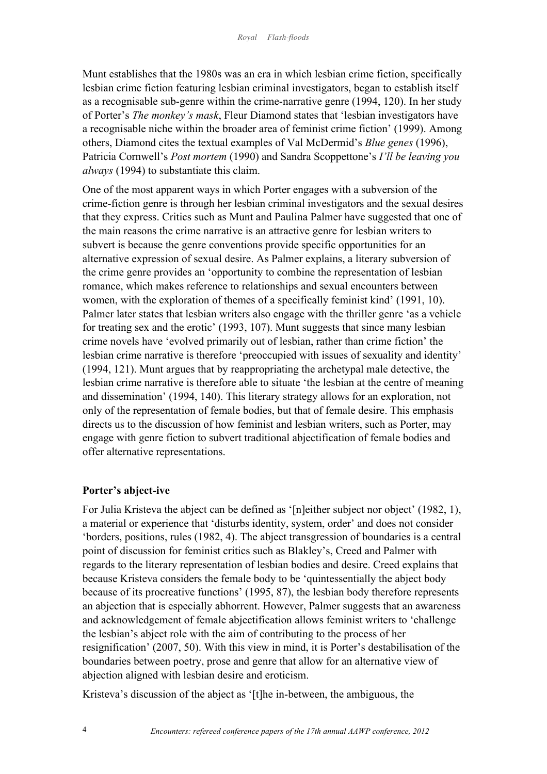Munt establishes that the 1980s was an era in which lesbian crime fiction, specifically lesbian crime fiction featuring lesbian criminal investigators, began to establish itself as a recognisable sub-genre within the crime-narrative genre (1994, 120). In her study of Porter's *The monkey's mask*, Fleur Diamond states that 'lesbian investigators have a recognisable niche within the broader area of feminist crime fiction' (1999). Among others, Diamond cites the textual examples of Val McDermid's *Blue genes* (1996), Patricia Cornwell's *Post mortem* (1990) and Sandra Scoppettone's *I'll be leaving you always* (1994) to substantiate this claim.

One of the most apparent ways in which Porter engages with a subversion of the crime-fiction genre is through her lesbian criminal investigators and the sexual desires that they express. Critics such as Munt and Paulina Palmer have suggested that one of the main reasons the crime narrative is an attractive genre for lesbian writers to subvert is because the genre conventions provide specific opportunities for an alternative expression of sexual desire. As Palmer explains, a literary subversion of the crime genre provides an 'opportunity to combine the representation of lesbian romance, which makes reference to relationships and sexual encounters between women, with the exploration of themes of a specifically feminist kind' (1991, 10). Palmer later states that lesbian writers also engage with the thriller genre 'as a vehicle for treating sex and the erotic' (1993, 107). Munt suggests that since many lesbian crime novels have 'evolved primarily out of lesbian, rather than crime fiction' the lesbian crime narrative is therefore 'preoccupied with issues of sexuality and identity' (1994, 121). Munt argues that by reappropriating the archetypal male detective, the lesbian crime narrative is therefore able to situate 'the lesbian at the centre of meaning and dissemination' (1994, 140). This literary strategy allows for an exploration, not only of the representation of female bodies, but that of female desire. This emphasis directs us to the discussion of how feminist and lesbian writers, such as Porter, may engage with genre fiction to subvert traditional abjectification of female bodies and offer alternative representations.

### **Porter's abject-ive**

For Julia Kristeva the abject can be defined as '[n]either subject nor object' (1982, 1), a material or experience that 'disturbs identity, system, order' and does not consider 'borders, positions, rules (1982, 4). The abject transgression of boundaries is a central point of discussion for feminist critics such as Blakley's, Creed and Palmer with regards to the literary representation of lesbian bodies and desire. Creed explains that because Kristeva considers the female body to be 'quintessentially the abject body because of its procreative functions' (1995, 87), the lesbian body therefore represents an abjection that is especially abhorrent. However, Palmer suggests that an awareness and acknowledgement of female abjectification allows feminist writers to 'challenge the lesbian's abject role with the aim of contributing to the process of her resignification' (2007, 50). With this view in mind, it is Porter's destabilisation of the boundaries between poetry, prose and genre that allow for an alternative view of abjection aligned with lesbian desire and eroticism.

Kristeva's discussion of the abject as '[t]he in-between, the ambiguous, the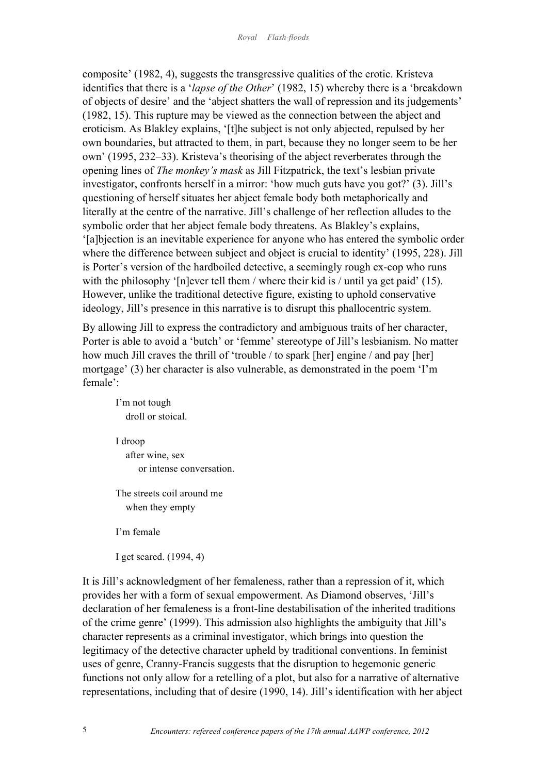composite' (1982, 4), suggests the transgressive qualities of the erotic. Kristeva identifies that there is a '*lapse of the Other*' (1982, 15) whereby there is a 'breakdown of objects of desire' and the 'abject shatters the wall of repression and its judgements' (1982, 15). This rupture may be viewed as the connection between the abject and eroticism. As Blakley explains, '[t]he subject is not only abjected, repulsed by her own boundaries, but attracted to them, in part, because they no longer seem to be her own' (1995, 232–33). Kristeva's theorising of the abject reverberates through the opening lines of *The monkey's mask* as Jill Fitzpatrick, the text's lesbian private investigator, confronts herself in a mirror: 'how much guts have you got?' (3). Jill's questioning of herself situates her abject female body both metaphorically and literally at the centre of the narrative. Jill's challenge of her reflection alludes to the symbolic order that her abject female body threatens. As Blakley's explains, '[a]bjection is an inevitable experience for anyone who has entered the symbolic order where the difference between subject and object is crucial to identity' (1995, 228). Jill is Porter's version of the hardboiled detective, a seemingly rough ex-cop who runs with the philosophy '[n]ever tell them / where their kid is / until ya get paid' (15). However, unlike the traditional detective figure, existing to uphold conservative ideology, Jill's presence in this narrative is to disrupt this phallocentric system.

By allowing Jill to express the contradictory and ambiguous traits of her character, Porter is able to avoid a 'butch' or 'femme' stereotype of Jill's lesbianism. No matter how much Jill craves the thrill of 'trouble / to spark [her] engine / and pay [her] mortgage' (3) her character is also vulnerable, as demonstrated in the poem 'I'm female':

I'm not tough droll or stoical. I droop

 after wine, sex or intense conversation.

The streets coil around me when they empty

I'm female

I get scared. (1994, 4)

It is Jill's acknowledgment of her femaleness, rather than a repression of it, which provides her with a form of sexual empowerment. As Diamond observes, 'Jill's declaration of her femaleness is a front-line destabilisation of the inherited traditions of the crime genre' (1999). This admission also highlights the ambiguity that Jill's character represents as a criminal investigator, which brings into question the legitimacy of the detective character upheld by traditional conventions. In feminist uses of genre, Cranny-Francis suggests that the disruption to hegemonic generic functions not only allow for a retelling of a plot, but also for a narrative of alternative representations, including that of desire (1990, 14). Jill's identification with her abject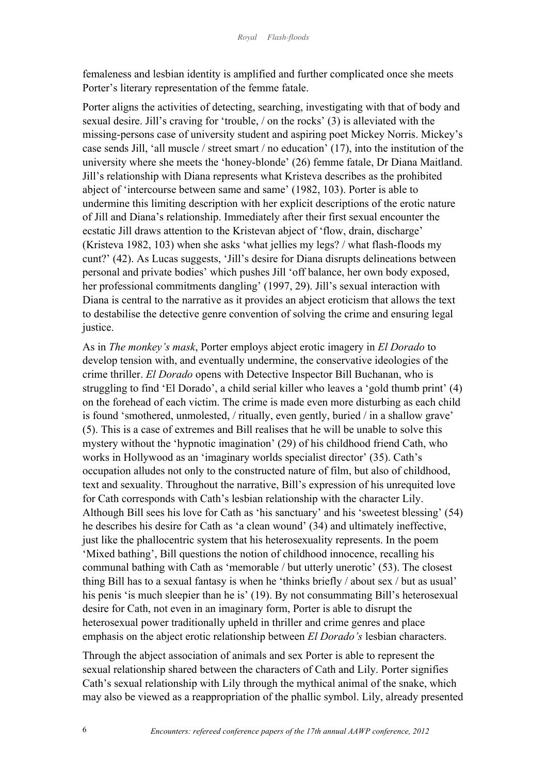femaleness and lesbian identity is amplified and further complicated once she meets Porter's literary representation of the femme fatale.

Porter aligns the activities of detecting, searching, investigating with that of body and sexual desire. Jill's craving for 'trouble, / on the rocks' (3) is alleviated with the missing-persons case of university student and aspiring poet Mickey Norris. Mickey's case sends Jill, 'all muscle / street smart / no education' (17), into the institution of the university where she meets the 'honey-blonde' (26) femme fatale, Dr Diana Maitland. Jill's relationship with Diana represents what Kristeva describes as the prohibited abject of 'intercourse between same and same' (1982, 103). Porter is able to undermine this limiting description with her explicit descriptions of the erotic nature of Jill and Diana's relationship. Immediately after their first sexual encounter the ecstatic Jill draws attention to the Kristevan abject of 'flow, drain, discharge' (Kristeva 1982, 103) when she asks 'what jellies my legs? / what flash-floods my cunt?' (42). As Lucas suggests, 'Jill's desire for Diana disrupts delineations between personal and private bodies' which pushes Jill 'off balance, her own body exposed, her professional commitments dangling' (1997, 29). Jill's sexual interaction with Diana is central to the narrative as it provides an abject eroticism that allows the text to destabilise the detective genre convention of solving the crime and ensuring legal justice.

As in *The monkey's mask*, Porter employs abject erotic imagery in *El Dorado* to develop tension with, and eventually undermine, the conservative ideologies of the crime thriller. *El Dorado* opens with Detective Inspector Bill Buchanan, who is struggling to find 'El Dorado', a child serial killer who leaves a 'gold thumb print' (4) on the forehead of each victim. The crime is made even more disturbing as each child is found 'smothered, unmolested, / ritually, even gently, buried / in a shallow grave' (5). This is a case of extremes and Bill realises that he will be unable to solve this mystery without the 'hypnotic imagination' (29) of his childhood friend Cath, who works in Hollywood as an 'imaginary worlds specialist director' (35). Cath's occupation alludes not only to the constructed nature of film, but also of childhood, text and sexuality. Throughout the narrative, Bill's expression of his unrequited love for Cath corresponds with Cath's lesbian relationship with the character Lily. Although Bill sees his love for Cath as 'his sanctuary' and his 'sweetest blessing' (54) he describes his desire for Cath as 'a clean wound' (34) and ultimately ineffective, just like the phallocentric system that his heterosexuality represents. In the poem 'Mixed bathing', Bill questions the notion of childhood innocence, recalling his communal bathing with Cath as 'memorable / but utterly unerotic' (53). The closest thing Bill has to a sexual fantasy is when he 'thinks briefly / about sex / but as usual' his penis 'is much sleepier than he is' (19). By not consummating Bill's heterosexual desire for Cath, not even in an imaginary form, Porter is able to disrupt the heterosexual power traditionally upheld in thriller and crime genres and place emphasis on the abject erotic relationship between *El Dorado's* lesbian characters.

Through the abject association of animals and sex Porter is able to represent the sexual relationship shared between the characters of Cath and Lily. Porter signifies Cath's sexual relationship with Lily through the mythical animal of the snake, which may also be viewed as a reappropriation of the phallic symbol. Lily, already presented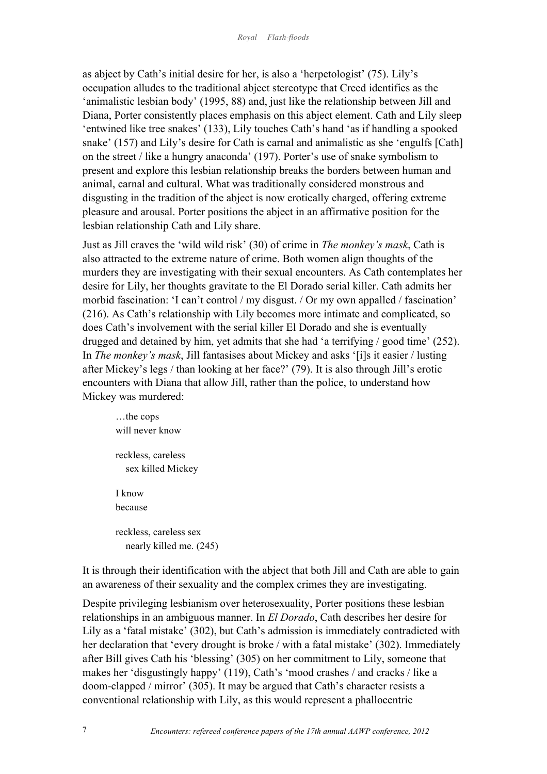as abject by Cath's initial desire for her, is also a 'herpetologist' (75). Lily's occupation alludes to the traditional abject stereotype that Creed identifies as the 'animalistic lesbian body' (1995, 88) and, just like the relationship between Jill and Diana, Porter consistently places emphasis on this abject element. Cath and Lily sleep 'entwined like tree snakes' (133), Lily touches Cath's hand 'as if handling a spooked snake' (157) and Lily's desire for Cath is carnal and animalistic as she 'engulfs [Cath] on the street / like a hungry anaconda' (197). Porter's use of snake symbolism to present and explore this lesbian relationship breaks the borders between human and animal, carnal and cultural. What was traditionally considered monstrous and disgusting in the tradition of the abject is now erotically charged, offering extreme pleasure and arousal. Porter positions the abject in an affirmative position for the lesbian relationship Cath and Lily share.

Just as Jill craves the 'wild wild risk' (30) of crime in *The monkey's mask*, Cath is also attracted to the extreme nature of crime. Both women align thoughts of the murders they are investigating with their sexual encounters. As Cath contemplates her desire for Lily, her thoughts gravitate to the El Dorado serial killer. Cath admits her morbid fascination: 'I can't control / my disgust. / Or my own appalled / fascination' (216). As Cath's relationship with Lily becomes more intimate and complicated, so does Cath's involvement with the serial killer El Dorado and she is eventually drugged and detained by him, yet admits that she had 'a terrifying / good time' (252). In *The monkey's mask*, Jill fantasises about Mickey and asks '[i]s it easier / lusting after Mickey's legs / than looking at her face?' (79). It is also through Jill's erotic encounters with Diana that allow Jill, rather than the police, to understand how Mickey was murdered:

…the cops will never know reckless, careless sex killed Mickey I know because reckless, careless sex nearly killed me. (245)

It is through their identification with the abject that both Jill and Cath are able to gain an awareness of their sexuality and the complex crimes they are investigating.

Despite privileging lesbianism over heterosexuality, Porter positions these lesbian relationships in an ambiguous manner. In *El Dorado*, Cath describes her desire for Lily as a 'fatal mistake' (302), but Cath's admission is immediately contradicted with her declaration that 'every drought is broke / with a fatal mistake' (302). Immediately after Bill gives Cath his 'blessing' (305) on her commitment to Lily, someone that makes her 'disgustingly happy' (119), Cath's 'mood crashes / and cracks / like a doom-clapped / mirror' (305). It may be argued that Cath's character resists a conventional relationship with Lily, as this would represent a phallocentric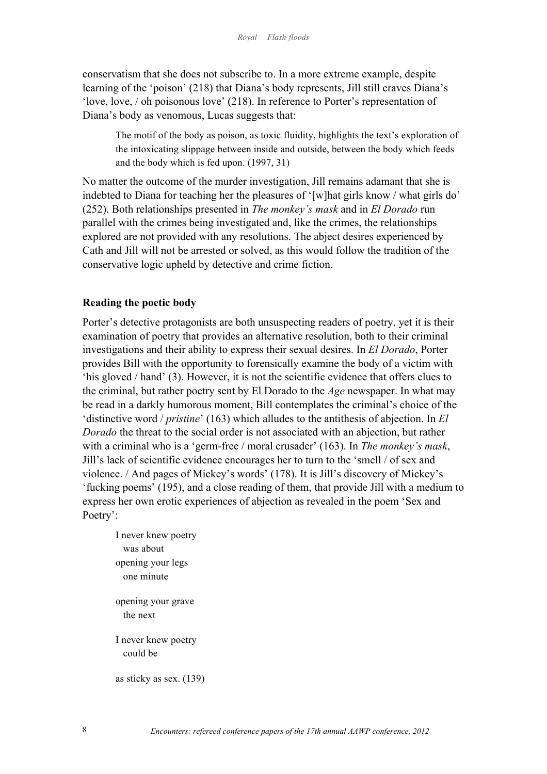conservatism that she does not subscribe to. In a more extreme example, despite learning of the 'poison' (218) that Diana's body represents, Jill still craves Diana's 'love, love, / oh poisonous love' (218). In reference to Porter's representation of Diana's body as venomous, Lucas suggests that:

The motif of the body as poison, as toxic fluidity, highlights the text's exploration of the intoxicating slippage between inside and outside, between the body which feeds and the body which is fed upon. (1997, 31)

No matter the outcome of the murder investigation, Jill remains adamant that she is indebted to Diana for teaching her the pleasures of '[w]hat girls know / what girls do' (252). Both relationships presented in *The monkey's mask* and in *El Dorado* run parallel with the crimes being investigated and, like the crimes, the relationships explored are not provided with any resolutions. The abject desires experienced by Cath and Jill will not be arrested or solved, as this would follow the tradition of the conservative logic upheld by detective and crime fiction.

# **Reading the poetic body**

Porter's detective protagonists are both unsuspecting readers of poetry, yet it is their examination of poetry that provides an alternative resolution, both to their criminal investigations and their ability to express their sexual desires. In *El Dorado*, Porter provides Bill with the opportunity to forensically examine the body of a victim with 'his gloved / hand' (3). However, it is not the scientific evidence that offers clues to the criminal, but rather poetry sent by El Dorado to the *Age* newspaper. In what may be read in a darkly humorous moment, Bill contemplates the criminal's choice of the 'distinctive word / *pristine*' (163) which alludes to the antithesis of abjection. In *El Dorado* the threat to the social order is not associated with an abjection, but rather with a criminal who is a 'germ-free / moral crusader' (163). In *The monkey's mask*, Jill's lack of scientific evidence encourages her to turn to the 'smell / of sex and violence. / And pages of Mickey's words' (178). It is Jill's discovery of Mickey's 'fucking poems' (195), and a close reading of them, that provide Jill with a medium to express her own erotic experiences of abjection as revealed in the poem 'Sex and Poetry':

I never knew poetry was about opening your legs one minute opening your grave the next I never knew poetry could be as sticky as sex. (139)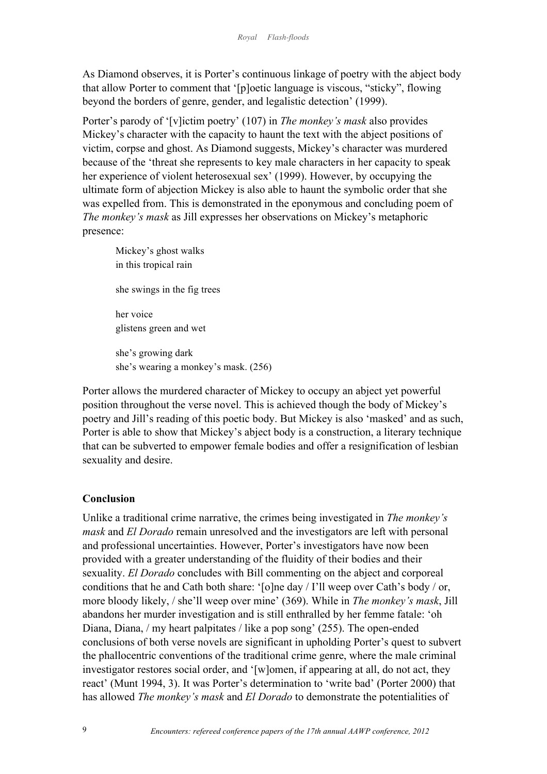As Diamond observes, it is Porter's continuous linkage of poetry with the abject body that allow Porter to comment that '[p]oetic language is viscous, "sticky", flowing beyond the borders of genre, gender, and legalistic detection' (1999).

Porter's parody of '[v]ictim poetry' (107) in *The monkey's mask* also provides Mickey's character with the capacity to haunt the text with the abject positions of victim, corpse and ghost. As Diamond suggests, Mickey's character was murdered because of the 'threat she represents to key male characters in her capacity to speak her experience of violent heterosexual sex' (1999). However, by occupying the ultimate form of abjection Mickey is also able to haunt the symbolic order that she was expelled from. This is demonstrated in the eponymous and concluding poem of *The monkey's mask* as Jill expresses her observations on Mickey's metaphoric presence:

Mickey's ghost walks in this tropical rain she swings in the fig trees her voice glistens green and wet she's growing dark she's wearing a monkey's mask. (256)

Porter allows the murdered character of Mickey to occupy an abject yet powerful position throughout the verse novel. This is achieved though the body of Mickey's poetry and Jill's reading of this poetic body. But Mickey is also 'masked' and as such, Porter is able to show that Mickey's abject body is a construction, a literary technique that can be subverted to empower female bodies and offer a resignification of lesbian sexuality and desire.

# **Conclusion**

Unlike a traditional crime narrative, the crimes being investigated in *The monkey's mask* and *El Dorado* remain unresolved and the investigators are left with personal and professional uncertainties. However, Porter's investigators have now been provided with a greater understanding of the fluidity of their bodies and their sexuality. *El Dorado* concludes with Bill commenting on the abject and corporeal conditions that he and Cath both share: '[o]ne day / I'll weep over Cath's body / or, more bloody likely, / she'll weep over mine' (369). While in *The monkey's mask*, Jill abandons her murder investigation and is still enthralled by her femme fatale: 'oh Diana, Diana, / my heart palpitates / like a pop song' (255). The open-ended conclusions of both verse novels are significant in upholding Porter's quest to subvert the phallocentric conventions of the traditional crime genre, where the male criminal investigator restores social order, and '[w]omen, if appearing at all, do not act, they react' (Munt 1994, 3). It was Porter's determination to 'write bad' (Porter 2000) that has allowed *The monkey's mask* and *El Dorado* to demonstrate the potentialities of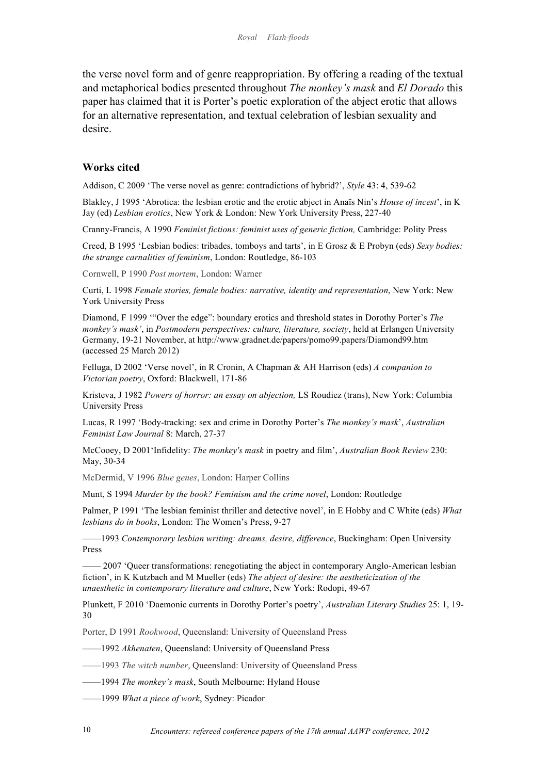the verse novel form and of genre reappropriation. By offering a reading of the textual and metaphorical bodies presented throughout *The monkey's mask* and *El Dorado* this paper has claimed that it is Porter's poetic exploration of the abject erotic that allows for an alternative representation, and textual celebration of lesbian sexuality and desire.

## **Works cited**

Addison, C 2009 'The verse novel as genre: contradictions of hybrid?', *Style* 43: 4, 539-62

Blakley, J 1995 'Abrotica: the lesbian erotic and the erotic abject in Anaïs Nin's *House of incest*', in K Jay (ed) *Lesbian erotics*, New York & London: New York University Press, 227-40

Cranny-Francis, A 1990 *Feminist fictions: feminist uses of generic fiction,* Cambridge: Polity Press

Creed, B 1995 'Lesbian bodies: tribades, tomboys and tarts', in E Grosz & E Probyn (eds) *Sexy bodies: the strange carnalities of feminism*, London: Routledge, 86-103

Cornwell, P 1990 *Post mortem*, London: Warner

Curti, L 1998 *Female stories, female bodies: narrative, identity and representation*, New York: New York University Press

Diamond, F 1999 '"Over the edge": boundary erotics and threshold states in Dorothy Porter's *The monkey's mask'*, in *Postmodern perspectives: culture, literature, society*, held at Erlangen University Germany, 19-21 November, at http://www.gradnet.de/papers/pomo99.papers/Diamond99.htm (accessed 25 March 2012)

Felluga, D 2002 'Verse novel', in R Cronin, A Chapman & AH Harrison (eds) *A companion to Victorian poetry*, Oxford: Blackwell, 171-86

Kristeva, J 1982 *Powers of horror: an essay on abjection,* LS Roudiez (trans), New York: Columbia University Press

Lucas, R 1997 'Body-tracking: sex and crime in Dorothy Porter's *The monkey's mask*', *Australian Feminist Law Journal* 8: March, 27-37

McCooey, D 2001'Infidelity: *The monkey's mask* in poetry and film', *Australian Book Review* 230: May, 30-34

McDermid, V 1996 *Blue genes*, London: Harper Collins

Munt, S 1994 *Murder by the book? Feminism and the crime novel*, London: Routledge

Palmer, P 1991 'The lesbian feminist thriller and detective novel', in E Hobby and C White (eds) *What lesbians do in books*, London: The Women's Press, 9-27

——1993 *Contemporary lesbian writing: dreams, desire, difference*, Buckingham: Open University Press

—— 2007 'Queer transformations: renegotiating the abject in contemporary Anglo-American lesbian fiction', in K Kutzbach and M Mueller (eds) *The abject of desire: the aestheticization of the unaesthetic in contemporary literature and culture*, New York: Rodopi, 49-67

Plunkett, F 2010 'Daemonic currents in Dorothy Porter's poetry', *Australian Literary Studies* 25: 1, 19- 30

Porter, D 1991 *Rookwood*, Queensland: University of Queensland Press

——1992 *Akhenaten*, Queensland: University of Queensland Press

——1993 *The witch number*, Queensland: University of Queensland Press

——1994 *The monkey's mask*, South Melbourne: Hyland House

——1999 *What a piece of work*, Sydney: Picador